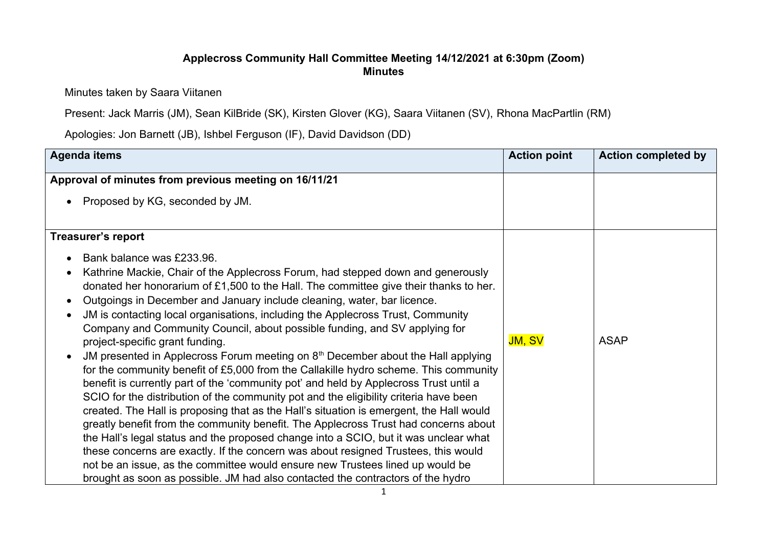## **Applecross Community Hall Committee Meeting 14/12/2021 at 6:30pm (Zoom) Minutes**

Minutes taken by Saara Viitanen

Present: Jack Marris (JM), Sean KilBride (SK), Kirsten Glover (KG), Saara Viitanen (SV), Rhona MacPartlin (RM)

Apologies: Jon Barnett (JB), Ishbel Ferguson (IF), David Davidson (DD)

| <b>Agenda items</b>                                                                                                                                                                                                                                                                                                                                                                                                                                                                                                                                                                                                                                                                                                                                                                                                                                                                                                                                                                                                                                                                                                                                                                                                                                                                                                                                                                                                                                                                    | <b>Action point</b> | <b>Action completed by</b> |
|----------------------------------------------------------------------------------------------------------------------------------------------------------------------------------------------------------------------------------------------------------------------------------------------------------------------------------------------------------------------------------------------------------------------------------------------------------------------------------------------------------------------------------------------------------------------------------------------------------------------------------------------------------------------------------------------------------------------------------------------------------------------------------------------------------------------------------------------------------------------------------------------------------------------------------------------------------------------------------------------------------------------------------------------------------------------------------------------------------------------------------------------------------------------------------------------------------------------------------------------------------------------------------------------------------------------------------------------------------------------------------------------------------------------------------------------------------------------------------------|---------------------|----------------------------|
| Approval of minutes from previous meeting on 16/11/21<br>Proposed by KG, seconded by JM.<br>$\bullet$                                                                                                                                                                                                                                                                                                                                                                                                                                                                                                                                                                                                                                                                                                                                                                                                                                                                                                                                                                                                                                                                                                                                                                                                                                                                                                                                                                                  |                     |                            |
| <b>Treasurer's report</b><br>Bank balance was £233.96.<br>$\bullet$<br>Kathrine Mackie, Chair of the Applecross Forum, had stepped down and generously<br>$\bullet$<br>donated her honorarium of £1,500 to the Hall. The committee give their thanks to her.<br>Outgoings in December and January include cleaning, water, bar licence.<br>$\bullet$<br>JM is contacting local organisations, including the Applecross Trust, Community<br>$\bullet$<br>Company and Community Council, about possible funding, and SV applying for<br>project-specific grant funding.<br>JM presented in Applecross Forum meeting on $8th$ December about the Hall applying<br>$\bullet$<br>for the community benefit of £5,000 from the Callakille hydro scheme. This community<br>benefit is currently part of the 'community pot' and held by Applecross Trust until a<br>SCIO for the distribution of the community pot and the eligibility criteria have been<br>created. The Hall is proposing that as the Hall's situation is emergent, the Hall would<br>greatly benefit from the community benefit. The Applecross Trust had concerns about<br>the Hall's legal status and the proposed change into a SCIO, but it was unclear what<br>these concerns are exactly. If the concern was about resigned Trustees, this would<br>not be an issue, as the committee would ensure new Trustees lined up would be<br>brought as soon as possible. JM had also contacted the contractors of the hydro | <b>JM, SV</b>       | <b>ASAP</b>                |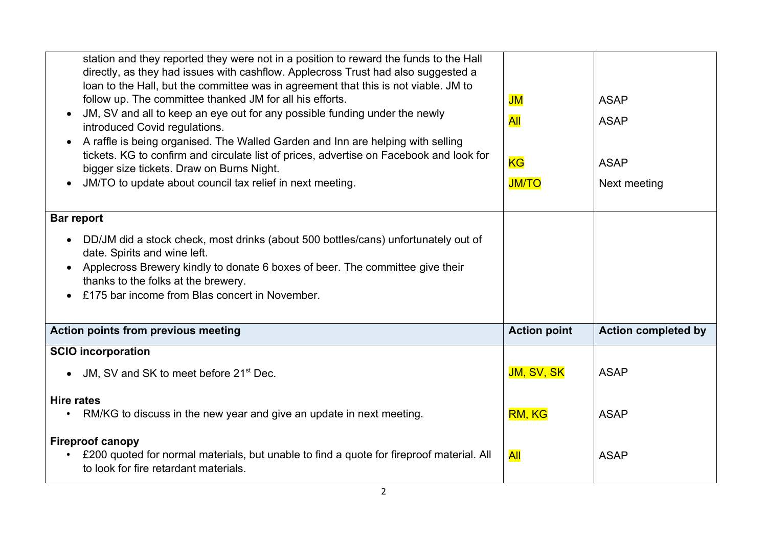| station and they reported they were not in a position to reward the funds to the Hall<br>directly, as they had issues with cashflow. Applecross Trust had also suggested a<br>loan to the Hall, but the committee was in agreement that this is not viable. JM to<br>follow up. The committee thanked JM for all his efforts.<br>JM, SV and all to keep an eye out for any possible funding under the newly<br>introduced Covid regulations.<br>A raffle is being organised. The Walled Garden and Inn are helping with selling<br>$\bullet$<br>tickets. KG to confirm and circulate list of prices, advertise on Facebook and look for<br>bigger size tickets. Draw on Burns Night.<br>JM/TO to update about council tax relief in next meeting. | JM<br><b>All</b><br><b>KG</b><br><b>JM/TO</b> | <b>ASAP</b><br><b>ASAP</b><br><b>ASAP</b><br>Next meeting |  |  |
|---------------------------------------------------------------------------------------------------------------------------------------------------------------------------------------------------------------------------------------------------------------------------------------------------------------------------------------------------------------------------------------------------------------------------------------------------------------------------------------------------------------------------------------------------------------------------------------------------------------------------------------------------------------------------------------------------------------------------------------------------|-----------------------------------------------|-----------------------------------------------------------|--|--|
| <b>Bar report</b>                                                                                                                                                                                                                                                                                                                                                                                                                                                                                                                                                                                                                                                                                                                                 |                                               |                                                           |  |  |
| DD/JM did a stock check, most drinks (about 500 bottles/cans) unfortunately out of<br>$\bullet$<br>date. Spirits and wine left.<br>Applecross Brewery kindly to donate 6 boxes of beer. The committee give their<br>$\bullet$<br>thanks to the folks at the brewery.<br>£175 bar income from Blas concert in November.                                                                                                                                                                                                                                                                                                                                                                                                                            |                                               |                                                           |  |  |
| Action points from previous meeting                                                                                                                                                                                                                                                                                                                                                                                                                                                                                                                                                                                                                                                                                                               | <b>Action point</b>                           | <b>Action completed by</b>                                |  |  |
| <b>SCIO incorporation</b>                                                                                                                                                                                                                                                                                                                                                                                                                                                                                                                                                                                                                                                                                                                         |                                               |                                                           |  |  |
| JM, SV and SK to meet before 21 <sup>st</sup> Dec.<br>$\bullet$                                                                                                                                                                                                                                                                                                                                                                                                                                                                                                                                                                                                                                                                                   | JM, SV, SK                                    | <b>ASAP</b>                                               |  |  |
| <b>Hire rates</b><br>RM/KG to discuss in the new year and give an update in next meeting.<br>٠                                                                                                                                                                                                                                                                                                                                                                                                                                                                                                                                                                                                                                                    | RM, KG                                        | <b>ASAP</b>                                               |  |  |
| <b>Fireproof canopy</b><br>• £200 quoted for normal materials, but unable to find a quote for fireproof material. All<br>to look for fire retardant materials.                                                                                                                                                                                                                                                                                                                                                                                                                                                                                                                                                                                    | <b>All</b>                                    | <b>ASAP</b>                                               |  |  |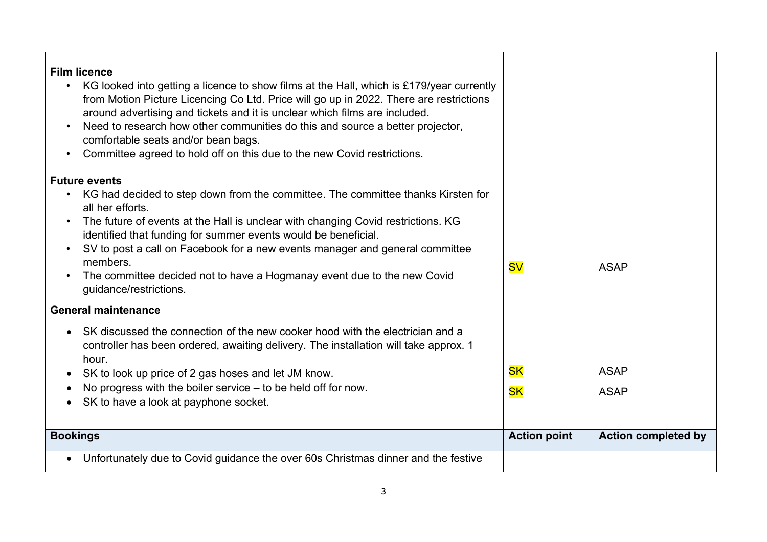| <b>Film licence</b><br>KG looked into getting a licence to show films at the Hall, which is £179/year currently<br>$\bullet$<br>from Motion Picture Licencing Co Ltd. Price will go up in 2022. There are restrictions<br>around advertising and tickets and it is unclear which films are included.<br>Need to research how other communities do this and source a better projector,<br>$\bullet$<br>comfortable seats and/or bean bags.<br>Committee agreed to hold off on this due to the new Covid restrictions.<br>$\bullet$<br><b>Future events</b><br>KG had decided to step down from the committee. The committee thanks Kirsten for<br>$\bullet$<br>all her efforts.<br>The future of events at the Hall is unclear with changing Covid restrictions. KG<br>$\bullet$<br>identified that funding for summer events would be beneficial.<br>SV to post a call on Facebook for a new events manager and general committee<br>$\bullet$<br>members.<br>The committee decided not to have a Hogmanay event due to the new Covid<br>guidance/restrictions. | <b>SV</b>              | <b>ASAP</b>                |
|-----------------------------------------------------------------------------------------------------------------------------------------------------------------------------------------------------------------------------------------------------------------------------------------------------------------------------------------------------------------------------------------------------------------------------------------------------------------------------------------------------------------------------------------------------------------------------------------------------------------------------------------------------------------------------------------------------------------------------------------------------------------------------------------------------------------------------------------------------------------------------------------------------------------------------------------------------------------------------------------------------------------------------------------------------------------|------------------------|----------------------------|
| <b>General maintenance</b>                                                                                                                                                                                                                                                                                                                                                                                                                                                                                                                                                                                                                                                                                                                                                                                                                                                                                                                                                                                                                                      |                        |                            |
| SK discussed the connection of the new cooker hood with the electrician and a<br>controller has been ordered, awaiting delivery. The installation will take approx. 1<br>hour.<br>SK to look up price of 2 gas hoses and let JM know.<br>$\bullet$<br>No progress with the boiler service $-$ to be held off for now.<br>$\bullet$<br>SK to have a look at payphone socket.<br>$\bullet$                                                                                                                                                                                                                                                                                                                                                                                                                                                                                                                                                                                                                                                                        | <b>SK</b><br><b>SK</b> | <b>ASAP</b><br><b>ASAP</b> |
| <b>Bookings</b>                                                                                                                                                                                                                                                                                                                                                                                                                                                                                                                                                                                                                                                                                                                                                                                                                                                                                                                                                                                                                                                 | <b>Action point</b>    | <b>Action completed by</b> |
| Unfortunately due to Covid guidance the over 60s Christmas dinner and the festive<br>$\bullet$                                                                                                                                                                                                                                                                                                                                                                                                                                                                                                                                                                                                                                                                                                                                                                                                                                                                                                                                                                  |                        |                            |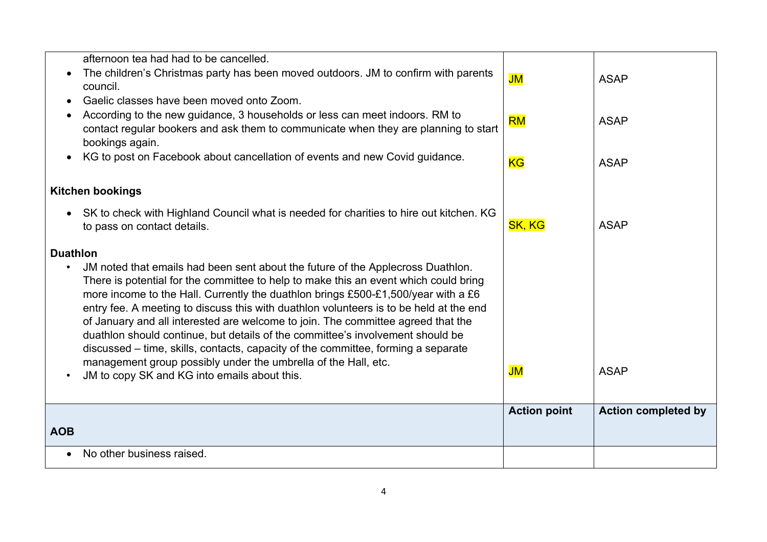|                 | afternoon tea had had to be cancelled.                                                 |                     |                            |
|-----------------|----------------------------------------------------------------------------------------|---------------------|----------------------------|
|                 | The children's Christmas party has been moved outdoors. JM to confirm with parents     | JM                  | <b>ASAP</b>                |
|                 | council.                                                                               |                     |                            |
|                 | Gaelic classes have been moved onto Zoom.                                              |                     |                            |
|                 | According to the new guidance, 3 households or less can meet indoors. RM to            | <b>RM</b>           | <b>ASAP</b>                |
|                 | contact regular bookers and ask them to communicate when they are planning to start    |                     |                            |
|                 | bookings again.                                                                        |                     |                            |
| $\bullet$       | KG to post on Facebook about cancellation of events and new Covid guidance.            | <b>KG</b>           | <b>ASAP</b>                |
|                 |                                                                                        |                     |                            |
|                 | <b>Kitchen bookings</b>                                                                |                     |                            |
|                 |                                                                                        |                     |                            |
|                 | SK to check with Highland Council what is needed for charities to hire out kitchen. KG |                     |                            |
|                 | to pass on contact details.                                                            | <b>SK, KG</b>       | <b>ASAP</b>                |
| <b>Duathlon</b> |                                                                                        |                     |                            |
| $\bullet$       | JM noted that emails had been sent about the future of the Applecross Duathlon.        |                     |                            |
|                 | There is potential for the committee to help to make this an event which could bring   |                     |                            |
|                 | more income to the Hall. Currently the duathlon brings £500-£1,500/year with a £6      |                     |                            |
|                 | entry fee. A meeting to discuss this with duathlon volunteers is to be held at the end |                     |                            |
|                 | of January and all interested are welcome to join. The committee agreed that the       |                     |                            |
|                 | duathlon should continue, but details of the committee's involvement should be         |                     |                            |
|                 | discussed – time, skills, contacts, capacity of the committee, forming a separate      |                     |                            |
|                 | management group possibly under the umbrella of the Hall, etc.                         | JM                  | <b>ASAP</b>                |
| ٠               | JM to copy SK and KG into emails about this.                                           |                     |                            |
|                 |                                                                                        |                     |                            |
|                 |                                                                                        | <b>Action point</b> | <b>Action completed by</b> |
| <b>AOB</b>      |                                                                                        |                     |                            |
|                 |                                                                                        |                     |                            |
| $\bullet$       | No other business raised.                                                              |                     |                            |